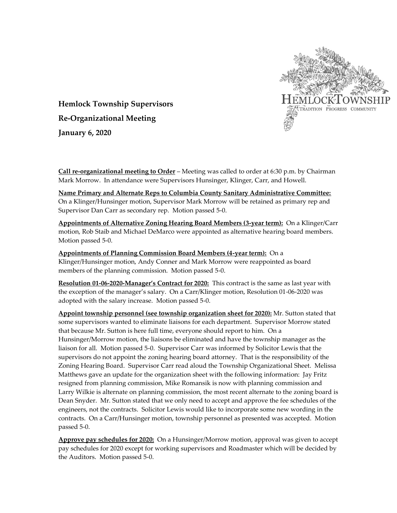

**Hemlock Township Supervisors Re-Organizational Meeting January 6, 2020**

**Call re-organizational meeting to Order** – Meeting was called to order at 6:30 p.m. by Chairman Mark Morrow. In attendance were Supervisors Hunsinger, Klinger, Carr, and Howell.

**Name Primary and Alternate Reps to Columbia County Sanitary Administrative Committee:** On a Klinger/Hunsinger motion, Supervisor Mark Morrow will be retained as primary rep and Supervisor Dan Carr as secondary rep. Motion passed 5-0.

**Appointments of Alternative Zoning Hearing Board Members (3-year term):** On a Klinger/Carr motion, Rob Staib and Michael DeMarco were appointed as alternative hearing board members. Motion passed 5-0.

**Appointments of Planning Commission Board Members (4-year term):** On a Klinger/Hunsinger motion, Andy Conner and Mark Morrow were reappointed as board members of the planning commission. Motion passed 5-0.

**Resolution 01-06-2020-Manager's Contract for 2020:** This contract is the same as last year with the exception of the manager's salary. On a Carr/Klinger motion, Resolution 01-06-2020 was adopted with the salary increase. Motion passed 5-0.

**Appoint township personnel (see township organization sheet for 2020):** Mr. Sutton stated that some supervisors wanted to eliminate liaisons for each department. Supervisor Morrow stated that because Mr. Sutton is here full time, everyone should report to him. On a Hunsinger/Morrow motion, the liaisons be eliminated and have the township manager as the liaison for all. Motion passed 5-0. Supervisor Carr was informed by Solicitor Lewis that the supervisors do not appoint the zoning hearing board attorney. That is the responsibility of the Zoning Hearing Board. Supervisor Carr read aloud the Township Organizational Sheet. Melissa Matthews gave an update for the organization sheet with the following information: Jay Fritz resigned from planning commission, Mike Romansik is now with planning commission and Larry Wilkie is alternate on planning commission, the most recent alternate to the zoning board is Dean Snyder. Mr. Sutton stated that we only need to accept and approve the fee schedules of the engineers, not the contracts. Solicitor Lewis would like to incorporate some new wording in the contracts. On a Carr/Hunsinger motion, township personnel as presented was accepted. Motion passed 5-0.

**Approve pay schedules for 2020:** On a Hunsinger/Morrow motion, approval was given to accept pay schedules for 2020 except for working supervisors and Roadmaster which will be decided by the Auditors. Motion passed 5-0.